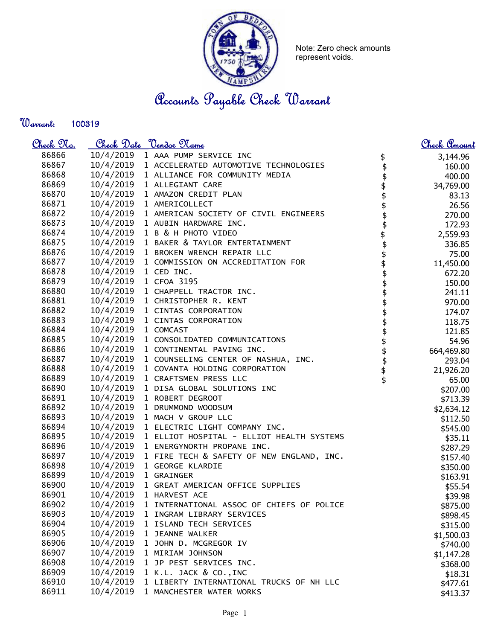

Note: Zero check amounts represent voids.

Accounts Payable Check Warrant

Warrant: 

| <u>Check 97a.</u> |           | Check Date <u>Vendor Name</u>             |                                 | <u>Check Amount</u> |
|-------------------|-----------|-------------------------------------------|---------------------------------|---------------------|
| 86866             | 10/4/2019 | 1 AAA PUMP SERVICE INC                    |                                 | 3,144.96            |
| 86867             | 10/4/2019 | 1 ACCELERATED AUTOMOTIVE TECHNOLOGIES     | $\updownarrow$                  | 160.00              |
| 86868             | 10/4/2019 | 1 ALLIANCE FOR COMMUNITY MEDIA            | \$                              | 400.00              |
| 86869             | 10/4/2019 | 1 ALLEGIANT CARE                          |                                 | 34,769.00           |
| 86870             | 10/4/2019 | 1 AMAZON CREDIT PLAN                      |                                 | 83.13               |
| 86871             | 10/4/2019 | 1 AMERICOLLECT                            |                                 | 26.56               |
| 86872             | 10/4/2019 | 1 AMERICAN SOCIETY OF CIVIL ENGINEERS     |                                 | 270.00              |
| 86873             | 10/4/2019 | 1 AUBIN HARDWARE INC.                     |                                 | 172.93              |
| 86874             | 10/4/2019 | 1 B & H PHOTO VIDEO                       |                                 | 2,559.93            |
| 86875             | 10/4/2019 | 1 BAKER & TAYLOR ENTERTAINMENT            |                                 | 336.85              |
| 86876             | 10/4/2019 | 1 BROKEN WRENCH REPAIR LLC                |                                 | 75.00               |
| 86877             | 10/4/2019 | 1 COMMISSION ON ACCREDITATION FOR         |                                 | 11,450.00           |
| 86878             | 10/4/2019 | 1 CED INC.                                |                                 | 672.20              |
| 86879             | 10/4/2019 | 1 CFOA 3195                               |                                 | 150.00              |
| 86880             | 10/4/2019 | 1 CHAPPELL TRACTOR INC.                   |                                 | 241.11              |
| 86881             | 10/4/2019 | 1 CHRISTOPHER R. KENT                     | <b>\$\$\$\$\$\$\$\$\$\$\$\$</b> | 970.00              |
| 86882             | 10/4/2019 | 1 CINTAS CORPORATION                      |                                 | 174.07              |
| 86883             | 10/4/2019 | 1 CINTAS CORPORATION                      |                                 | 118.75              |
| 86884             | 10/4/2019 | 1 COMCAST                                 | \$\$\$\$\$\$\$                  | 121.85              |
| 86885             | 10/4/2019 | 1 CONSOLIDATED COMMUNICATIONS             |                                 | 54.96               |
| 86886             | 10/4/2019 | 1 CONTINENTAL PAVING INC.                 |                                 | 664,469.80          |
| 86887             | 10/4/2019 | 1 COUNSELING CENTER OF NASHUA, INC.       |                                 | 293.04              |
| 86888             | 10/4/2019 | 1 COVANTA HOLDING CORPORATION             |                                 | 21,926.20           |
| 86889             | 10/4/2019 | 1 CRAFTSMEN PRESS LLC                     |                                 | 65.00               |
| 86890             | 10/4/2019 | 1 DISA GLOBAL SOLUTIONS INC               |                                 | \$207.00            |
| 86891             | 10/4/2019 | 1 ROBERT DEGROOT                          |                                 | \$713.39            |
| 86892             | 10/4/2019 | 1 DRUMMOND WOODSUM                        |                                 | \$2,634.12          |
| 86893             | 10/4/2019 | 1 MACH V GROUP LLC                        |                                 | \$112.50            |
| 86894             | 10/4/2019 | 1 ELECTRIC LIGHT COMPANY INC.             |                                 | \$545.00            |
| 86895             | 10/4/2019 | 1 ELLIOT HOSPITAL - ELLIOT HEALTH SYSTEMS |                                 | \$35.11             |
| 86896             | 10/4/2019 | 1 ENERGYNORTH PROPANE INC.                |                                 | \$287.29            |
| 86897             | 10/4/2019 | 1 FIRE TECH & SAFETY OF NEW ENGLAND, INC. |                                 | \$157.40            |
| 86898             | 10/4/2019 | 1 GEORGE KLARDIE                          |                                 | \$350.00            |
| 86899             | 10/4/2019 | 1 GRAINGER                                |                                 | \$163.91            |
| 86900             | 10/4/2019 | 1 GREAT AMERICAN OFFICE SUPPLIES          |                                 | \$55.54             |
| 86901             | 10/4/2019 | 1 HARVEST ACE                             |                                 | \$39.98             |
| 86902             | 10/4/2019 | 1 INTERNATIONAL ASSOC OF CHIEFS OF POLICE |                                 | \$875.00            |
| 86903             | 10/4/2019 | 1 INGRAM LIBRARY SERVICES                 |                                 | \$898.45            |
| 86904             | 10/4/2019 | 1 ISLAND TECH SERVICES                    |                                 | \$315.00            |
| 86905             | 10/4/2019 | 1 JEANNE WALKER                           |                                 | \$1,500.03          |
| 86906             | 10/4/2019 | 1 JOHN D. MCGREGOR IV                     |                                 | \$740.00            |
| 86907             | 10/4/2019 | 1 MIRIAM JOHNSON                          |                                 | \$1,147.28          |
| 86908             | 10/4/2019 | 1 JP PEST SERVICES INC.                   |                                 | \$368.00            |
| 86909             | 10/4/2019 | 1 K.L. JACK & CO., INC                    |                                 | \$18.31             |
| 86910             | 10/4/2019 | 1 LIBERTY INTERNATIONAL TRUCKS OF NH LLC  |                                 | \$477.61            |
| 86911             | 10/4/2019 | 1 MANCHESTER WATER WORKS                  |                                 | \$413.37            |